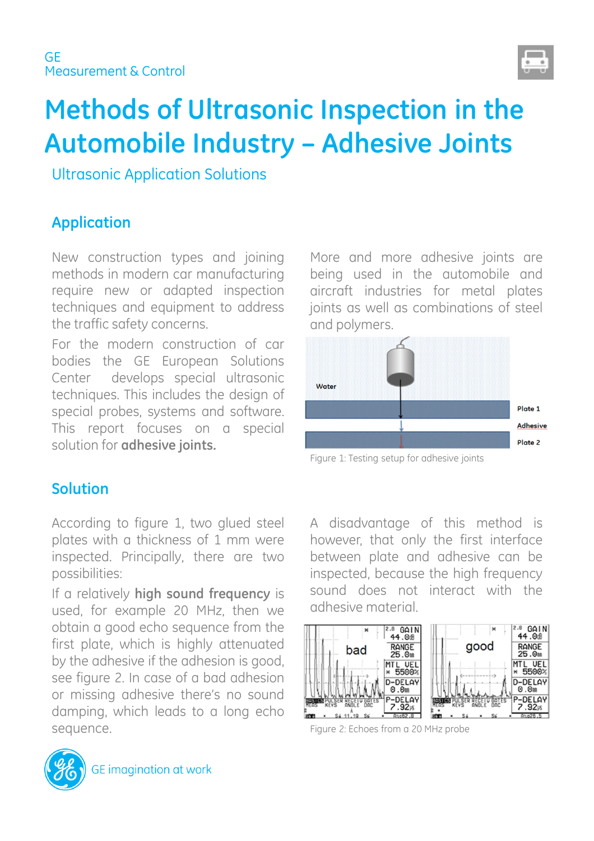

# **Methods of Ultrasonic Inspection in the Automobile Industry – Adhesive Joints**

Ultrasonic Application Solutions

# **Application**

New construction types and joining methods in modern car manufacturing require new or adapted inspection techniques and equipment to address the traffic safety concerns.

For the modern construction of car bodies the GE European Solutions Center develops special ultrasonic techniques. This includes the design of special probes, systems and software. This report focuses on a special solution for **adhesive joints.**

More and more adhesive joints are being used in the automobile and aircraft industries for metal plates joints as well as combinations of steel and polymers.



Figure 1: Testing setup for adhesive joints

### **Solution**

According to figure 1, two glued steel plates with a thickness of 1 mm were inspected. Principally, there are two possibilities:

If a relatively **high sound frequency** is used, for example 20 MHz, then we obtain a good echo sequence from the first plate, which is highly attenuated by the adhesive if the adhesion is good, see figure 2. In case of a bad adhesion or missing adhesive there's no sound damping, which leads to a long echo sequence.

A disadvantage of this method is however, that only the first interface between plate and adhesive can be inspected, because the high frequency sound does not interact with the adhesive material.



Figure 2: Echoes from a 20 MHz probe